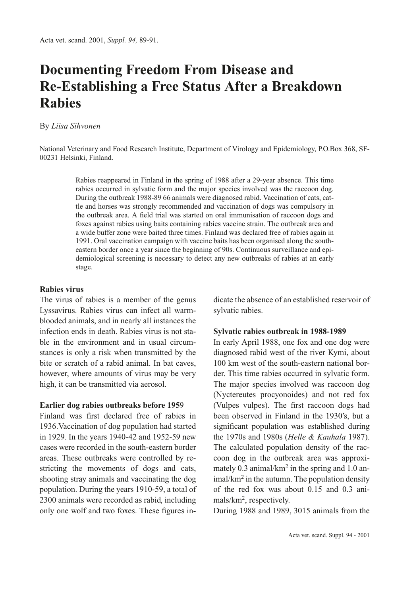# **Documenting Freedom From Disease and Re-Establishing a Free Status After a Breakdown Rabies**

By *Liisa Sihvonen*

National Veterinary and Food Research Institute, Department of Virology and Epidemiology, P.O.Box 368, SF-00231 Helsinki, Finland.

> Rabies reappeared in Finland in the spring of 1988 after a 29-year absence. This time rabies occurred in sylvatic form and the major species involved was the raccoon dog. During the outbreak 1988-89 66 animals were diagnosed rabid. Vaccination of cats, cattle and horses was strongly recommended and vaccination of dogs was compulsory in the outbreak area. A field trial was started on oral immunisation of raccoon dogs and foxes against rabies using baits containing rabies vaccine strain. The outbreak area and a wide buffer zone were baited three times. Finland was declared free of rabies again in 1991. Oral vaccination campaign with vaccine baits has been organised along the southeastern border once a year since the beginning of 90s. Continuous surveillance and epidemiological screening is necessary to detect any new outbreaks of rabies at an early stage.

#### **Rabies virus**

The virus of rabies is a member of the genus Lyssavirus. Rabies virus can infect all warmblooded animals, and in nearly all instances the infection ends in death. Rabies virus is not stable in the environment and in usual circumstances is only a risk when transmitted by the bite or scratch of a rabid animal. In bat caves, however, where amounts of virus may be very high, it can be transmitted via aerosol.

#### **Earlier dog rabies outbreaks before 195**9

Finland was first declared free of rabies in 1936.Vaccination of dog population had started in 1929. In the years 1940-42 and 1952-59 new cases were recorded in the south-eastern border areas. These outbreaks were controlled by restricting the movements of dogs and cats, shooting stray animals and vaccinating the dog population. During the years 1910-59, a total of 2300 animals were recorded as rabid, including only one wolf and two foxes. These figures indicate the absence of an established reservoir of sylvatic rabies.

#### **Sylvatic rabies outbreak in 1988-1989**

In early April 1988, one fox and one dog were diagnosed rabid west of the river Kymi, about 100 km west of the south-eastern national border. This time rabies occurred in sylvatic form. The major species involved was raccoon dog (Nyctereutes procyonoides) and not red fox (Vulpes vulpes). The first raccoon dogs had been observed in Finland in the 1930's, but a significant population was established during the 1970s and 1980s (*Helle & Kauhala* 1987). The calculated population density of the raccoon dog in the outbreak area was approximately 0.3 animal/km2 in the spring and 1.0 animal/km<sup>2</sup> in the autumn. The population density of the red fox was about 0.15 and 0.3 animals/km2, respectively.

During 1988 and 1989, 3015 animals from the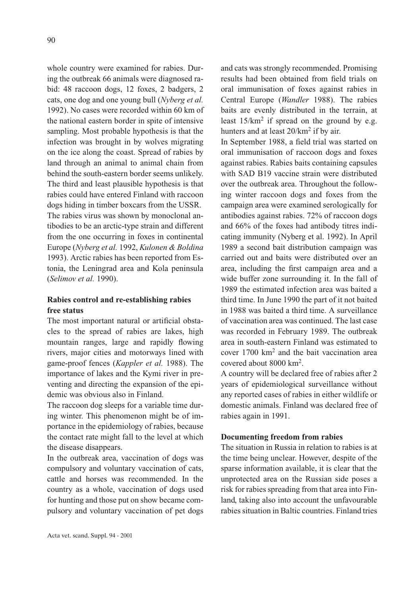whole country were examined for rabies. During the outbreak 66 animals were diagnosed rabid: 48 raccoon dogs, 12 foxes, 2 badgers, 2 cats, one dog and one young bull (*Nyberg et al.* 1992). No cases were recorded within 60 km of the national eastern border in spite of intensive sampling. Most probable hypothesis is that the infection was brought in by wolves migrating on the ice along the coast. Spread of rabies by land through an animal to animal chain from behind the south-eastern border seems unlikely. The third and least plausible hypothesis is that rabies could have entered Finland with raccoon dogs hiding in timber boxcars from the USSR. The rabies virus was shown by monoclonal antibodies to be an arctic-type strain and different from the one occurring in foxes in continental Europe (*Nyberg et al.* 1992, *Kulonen & Boldina* 1993). Arctic rabies has been reported from Estonia, the Leningrad area and Kola peninsula (*Selimov et al.* 1990).

## **Rabies control and re-establishing rabies free status**

The most important natural or artificial obstacles to the spread of rabies are lakes, high mountain ranges, large and rapidly flowing rivers, major cities and motorways lined with game-proof fences (*Kappler et al.* 1988). The importance of lakes and the Kymi river in preventing and directing the expansion of the epidemic was obvious also in Finland.

The raccoon dog sleeps for a variable time during winter. This phenomenon might be of importance in the epidemiology of rabies, because the contact rate might fall to the level at which the disease disappears.

In the outbreak area, vaccination of dogs was compulsory and voluntary vaccination of cats, cattle and horses was recommended. In the country as a whole, vaccination of dogs used for hunting and those put on show became compulsory and voluntary vaccination of pet dogs and cats was strongly recommended. Promising results had been obtained from field trials on oral immunisation of foxes against rabies in Central Europe (*Wandler* 1988). The rabies baits are evenly distributed in the terrain, at least  $15/km^2$  if spread on the ground by e.g. hunters and at least  $20/km^2$  if by air.

In September 1988, a field trial was started on oral immunisation of raccoon dogs and foxes against rabies. Rabies baits containing capsules with SAD B19 vaccine strain were distributed over the outbreak area. Throughout the following winter raccoon dogs and foxes from the campaign area were examined serologically for antibodies against rabies. 72% of raccoon dogs and 66% of the foxes had antibody titres indicating immunity (Nyberg et al. 1992). In April 1989 a second bait distribution campaign was carried out and baits were distributed over an area, including the first campaign area and a wide buffer zone surrounding it. In the fall of 1989 the estimated infection area was baited a third time. In June 1990 the part of it not baited in 1988 was baited a third time. A surveillance of vaccination area was continued. The last case was recorded in February 1989. The outbreak area in south-eastern Finland was estimated to cover 1700 km2 and the bait vaccination area covered about 8000 km2.

A country will be declared free of rabies after 2 years of epidemiological surveillance without any reported cases of rabies in either wildlife or domestic animals. Finland was declared free of rabies again in 1991.

### **Documenting freedom from rabies**

The situation in Russia in relation to rabies is at the time being unclear. However, despite of the sparse information available, it is clear that the unprotected area on the Russian side poses a risk for rabies spreading from that area into Finland, taking also into account the unfavourable rabies situation in Baltic countries. Finland tries